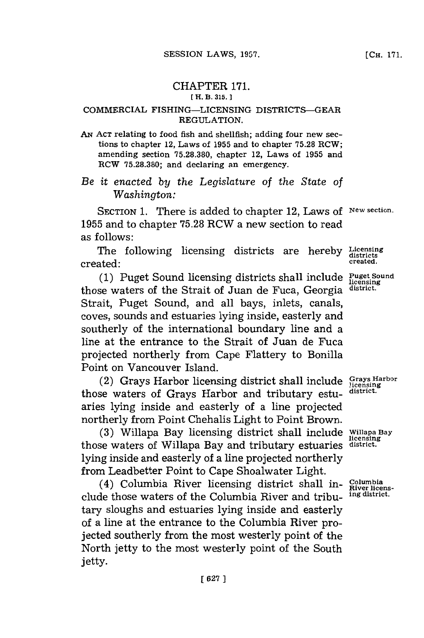## CHAPTER 171. **[ H. B. 315. 1**

## **COMMERCIAL FISHING-LICENSING DISTRICTS-GEAR REGULATION.**

**AN ACT** relating to food fish and shellfish; adding four new sections to chapter 12, Laws of **1955** and to chapter **75.28** RCW; amending section **75.28.380,** chapter 12, Laws of **1955** and RCW **75.28.380;** and declaring an emergency.

*Be it enacted by the Legislature of the State of Washington:*

SECTION 1. There is added to chapter 12, Laws of New section. **1955** and to chapter **75.28** RCW a new section to read as follows:

The following licensing districts are hereby Licensing created: **created.**

(1) Puget Sound licensing districts shall include **Puget Sound** those waters of the Strait of Juan de Fuca, Georgia **district.** Strait, Puget Sound, and all bays, inlets, canals, coves, sounds and estuaries lying inside, easterly and southerly of the international boundary line and a line at the entrance to the Strait of Juan de Fuca projected northerly from Cape Flattery to Bonilla Point on Vancouver Island.

(2) Grays Harbor licensing district shall include Grays **Harbor** those waters of Grays Harbor and tributary estu- **district.** aries lying inside and easterly of a line projected northerly from Point Chehalis Light to Point Brown.

**(3)** Willapa Bay licensing district shall include **Willapa Bay licensing** those waters of Willapa Bay and tributary estuaries **district.** lying inside and easterly of a line projected northerly from Leadbetter Point to Cape Shoalwater Light.

 $(4)$  Columbia River licensing district shall in- Columbia de those waters of the Columbia River and tribut ing district. clude those waters of the Columbia River and tributary sloughs and estuaries lying inside and easterly of a line at the entrance to the Columbia River projected southerly from the most westerly point of the North jetty to the most westerly point of the South jetty.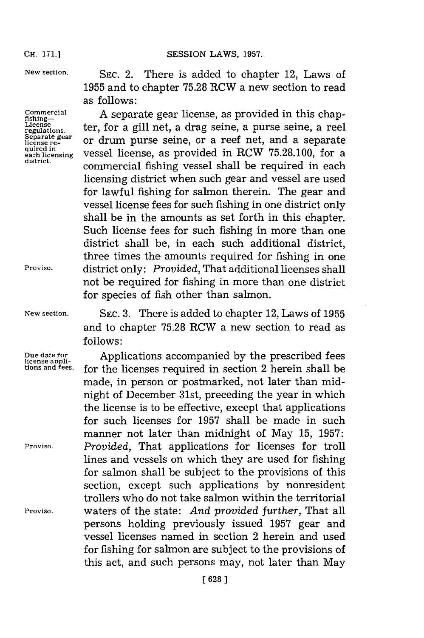**New section.**

**Commercial fishing-License regulations. Separate gear license re- quired in each licensing district .**

**Proviso.**

SEC. 2. There is added to chapter 12, Laws of **1955** and to chapter **75.28** RCW a new section to read as follows:

**A** separate gear license, as provided in this chapter, for a gill net, a drag seine, a purse seine, a reel or drum purse seine, or a reef net, and a separate vessel license, as provided in ROW **75.28.100,** for a commercial fishing vessel shall be required in each licensing district when such gear and vessel are used for lawful fishing for salmon therein. The gear and vessel license fees for such fishing in one district only shall be in the amounts as set forth in this chapter. Such license fees for such fishing in more than one district shall be, in each such additional district, three times the amounts required for fishing in one district only: *Provided,* That additional licenses shall not be required for fishing in more than one district for species of fish other than salmon.

**New section. SEC. 3.** There is added to chapter 12, Laws of **1955** and to chapter **75.28** ROW a new section to read as **follows:**

Due date for *Applications accompanied by the prescribed fees license applitions and fees.* **for the licenses required in section 2 herein shall be** made, in person or postmarked, not later than midnight of December 31st, preceding the year in which the license is to be effective, except that applications for such licenses for **1957** shall be made in such manner not later than midnight of May **15, 1957: Proviso.** *Provided,* That applications for licenses for troll lines and vessels on which they are used for fishing for salmon shall be subject to the provisions of this section, except such applications **by** nonresident trollers who do not take salmon within the territorial **Proviso,** waters of the state: *And provided further,* That all persons holding previously issued **1957** gear and vessel licenses named in section 2 herein and used for fishing for salmon are subject to the provisions of this act, and such persons may, not later than May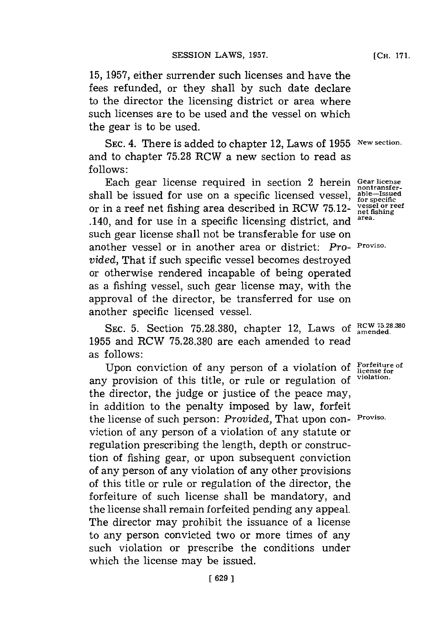**15, 1957,** either surrender such licenses and have the fees refunded, or they shall **by** such date declare to the director the licensing district or area where such licenses are to be used and the vessel on which the gear is to be used.

SEC. 4. There is added to chapter 12, Laws of 1955 New section. and to chapter **75.28** RCW a new section to read as **follows:**

Each gear license required in section 2 herein **Gear license** Each gear incense required in section 2 herein contransfer-<br>shall be issued for use on a specific licensed vessel, able--Issued<br>for specific or in a reef net fishing area described in RCW 75.12- **performation** or reef .140, and for use in a specific licensing district, and **area.** such gear license shall not be transferable for use on another vessel or in another area or district: *Pro-* **Proviso.** *vided,* That if such specific vessel becomes destroyed or otherwise rendered incapable of being operated as a fishing vessel, such gear license may, with the approval of the director, be transferred for use on another specific licensed vessel.

SEC. 5. Section 75.28.380, chapter 12, Laws of  $RCW$  75.28.380 **1955** and RCW **75.28.380** are each amended to read as **follows**:

Upon conviction of any person of aviolation of **Forfeiture of** a **license for** any provision of this title, or rule or regulation of **violation.** the director, the judge or justice of the peace may, in addition to the penalty imposed **by** law, forfeit the license of such person: *Provided,* That upon con- **Proviso.** viction of any person of a violation of any statute or regulation prescribing the length, depth or construction of fishing gear, or upon subsequent conviction of any person of any violation of any other provisions of this title or rule or regulation of the director, the forfeiture of such license shall be mandatory, and the license shall remain forfeited pending any appeal. The director may prohibit the issuance of a license to any person convicted two or more times of any such violation or prescribe the conditions under which the license may be issued.

**[CH. 171.**